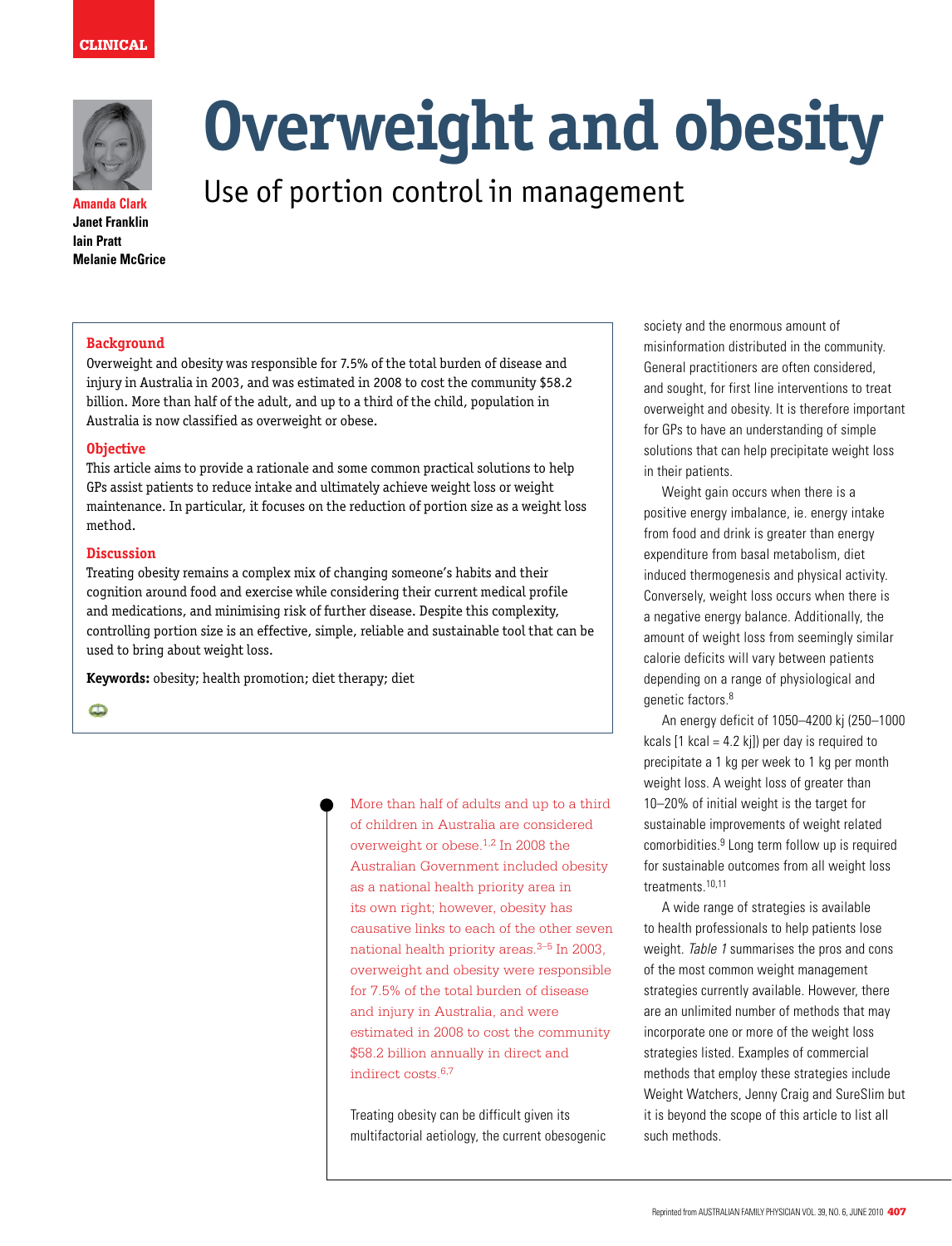



**Amanda Clark Janet Franklin Iain Pratt Melanie McGrice** 

# **Overweight and obesity**

Use of portion control in management

# **Background**

Overweight and obesity was responsible for 7.5% of the total burden of disease and injury in Australia in 2003, and was estimated in 2008 to cost the community \$58.2 billion. More than half of the adult, and up to a third of the child, population in Australia is now classified as overweight or obese.

## **Objective**

This article aims to provide a rationale and some common practical solutions to help GPs assist patients to reduce intake and ultimately achieve weight loss or weight maintenance. In particular, it focuses on the reduction of portion size as a weight loss method.

## **Discussion**

Treating obesity remains a complex mix of changing someone's habits and their cognition around food and exercise while considering their current medical profile and medications, and minimising risk of further disease. Despite this complexity, controlling portion size is an effective, simple, reliable and sustainable tool that can be used to bring about weight loss.

**Keywords:** obesity; health promotion; diet therapy; diet

 $\bullet$ 

More than half of adults and up to a third of children in Australia are considered overweight or obese.1,2 In 2008 the Australian Government included obesity as a national health priority area in its own right; however, obesity has causative links to each of the other seven national health priority areas. $3-5$  In 2003, overweight and obesity were responsible for 7.5% of the total burden of disease and injury in Australia, and were estimated in 2008 to cost the community \$58.2 billion annually in direct and indirect costs.6,7

Treating obesity can be difficult given its multifactorial aetiology, the current obesogenic society and the enormous amount of misinformation distributed in the community. General practitioners are often considered, and sought, for first line interventions to treat overweight and obesity. It is therefore important for GPs to have an understanding of simple solutions that can help precipitate weight loss in their patients.

Weight gain occurs when there is a positive energy imbalance, ie. energy intake from food and drink is greater than energy expenditure from basal metabolism, diet induced thermogenesis and physical activity. Conversely, weight loss occurs when there is a negative energy balance. Additionally, the amount of weight loss from seemingly similar calorie deficits will vary between patients depending on a range of physiological and genetic factors.<sup>8</sup>

An energy deficit of 1050–4200 kj (250–1000 kcals  $[1$  kcal = 4.2 kil) per day is required to precipitate a 1 kg per week to 1 kg per month weight loss. A weight loss of greater than 10–20% of initial weight is the target for sustainable improvements of weight related comorbidities.9 Long term follow up is required for sustainable outcomes from all weight loss treatments.10,11

A wide range of strategies is available to health professionals to help patients lose weight. Table 1 summarises the pros and cons of the most common weight management strategies currently available. However, there are an unlimited number of methods that may incorporate one or more of the weight loss strategies listed. Examples of commercial methods that employ these strategies include Weight Watchers, Jenny Craig and SureSlim but it is beyond the scope of this article to list all such methods.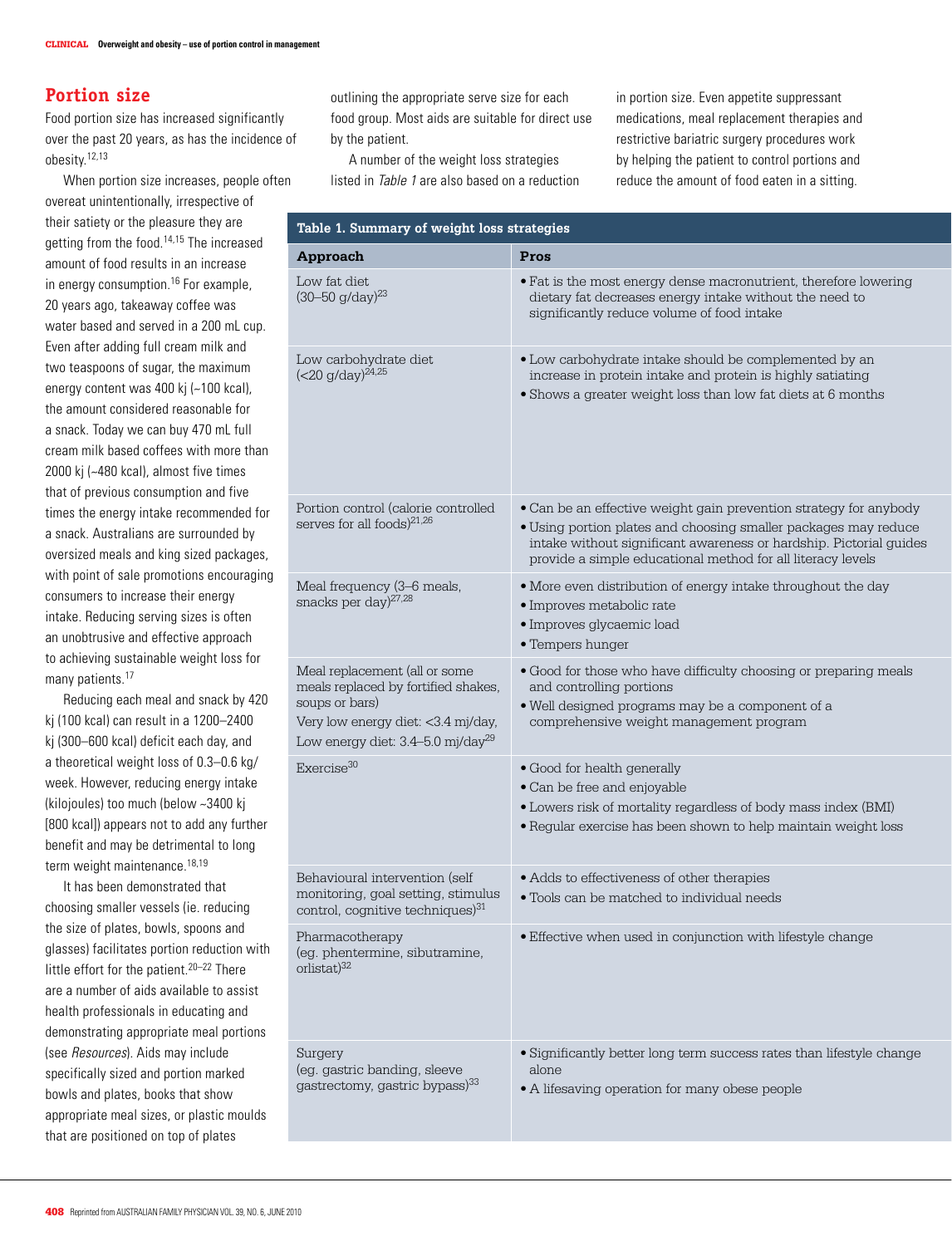# **Portion size**

Food portion size has increased significantly over the past 20 years, as has the incidence of obesity.12,13

When portion size increases, people often overeat unintentionally, irrespective of their satiety or the pleasure they are getting from the food.14,15 The increased amount of food results in an increase in energy consumption.<sup>16</sup> For example, 20 years ago, takeaway coffee was water based and served in a 200 mL cup. Even after adding full cream milk and two teaspoons of sugar, the maximum energy content was 400 kj (~100 kcal), the amount considered reasonable for a snack. Today we can buy 470 mL full cream milk based coffees with more than 2000 kj (~480 kcal), almost five times that of previous consumption and five times the energy intake recommended for a snack. Australians are surrounded by oversized meals and king sized packages, with point of sale promotions encouraging consumers to increase their energy intake. Reducing serving sizes is often an unobtrusive and effective approach to achieving sustainable weight loss for many patients.<sup>17</sup>

Reducing each meal and snack by 420 kj (100 kcal) can result in a 1200–2400 kj (300–600 kcal) deficit each day, and a theoretical weight loss of 0.3–0.6 kg/ week. However, reducing energy intake (kilojoules) too much (below ~3400 kj [800 kcal]) appears not to add any further benefit and may be detrimental to long term weight maintenance.<sup>18,19</sup>

It has been demonstrated that choosing smaller vessels (ie. reducing the size of plates, bowls, spoons and glasses) facilitates portion reduction with little effort for the patient.<sup>20–22</sup> There are a number of aids available to assist health professionals in educating and demonstrating appropriate meal portions (see Resources). Aids may include specifically sized and portion marked bowls and plates, books that show appropriate meal sizes, or plastic moulds that are positioned on top of plates

outlining the appropriate serve size for each food group. Most aids are suitable for direct use by the patient.

A number of the weight loss strategies listed in Table 1 are also based on a reduction in portion size. Even appetite suppressant medications, meal replacement therapies and restrictive bariatric surgery procedures work by helping the patient to control portions and reduce the amount of food eaten in a sitting.

| Table 1. Summary of weight loss strategies                                                                                                                                    |                                                                                                                                                                                                                                                                           |  |  |
|-------------------------------------------------------------------------------------------------------------------------------------------------------------------------------|---------------------------------------------------------------------------------------------------------------------------------------------------------------------------------------------------------------------------------------------------------------------------|--|--|
| Approach                                                                                                                                                                      | Pros                                                                                                                                                                                                                                                                      |  |  |
| Low fat diet<br>$(30 - 50)$ g/day) <sup>23</sup>                                                                                                                              | . Fat is the most energy dense macronutrient, therefore lowering<br>dietary fat decreases energy intake without the need to<br>significantly reduce volume of food intake                                                                                                 |  |  |
| Low carbohydrate diet<br>$(<$ 20 g/day) <sup>24,25</sup>                                                                                                                      | • Low carbohydrate intake should be complemented by an<br>increase in protein intake and protein is highly satiating<br>• Shows a greater weight loss than low fat diets at 6 months                                                                                      |  |  |
| Portion control (calorie controlled<br>serves for all foods) <sup>21,26</sup>                                                                                                 | • Can be an effective weight gain prevention strategy for anybody<br>• Using portion plates and choosing smaller packages may reduce<br>intake without significant awareness or hardship. Pictorial guides<br>provide a simple educational method for all literacy levels |  |  |
| Meal frequency (3-6 meals,<br>snacks per day) $27,28$                                                                                                                         | • More even distribution of energy intake throughout the day<br>· Improves metabolic rate<br>· Improves glycaemic load<br>• Tempers hunger                                                                                                                                |  |  |
| Meal replacement (all or some<br>meals replaced by fortified shakes,<br>soups or bars)<br>Very low energy diet: <3.4 mj/day,<br>Low energy diet: 3.4-5.0 mj/day <sup>29</sup> | . Good for those who have difficulty choosing or preparing meals<br>and controlling portions<br>. Well designed programs may be a component of a<br>comprehensive weight management program                                                                               |  |  |
| Exercise <sup>30</sup>                                                                                                                                                        | • Good for health generally<br>• Can be free and enjoyable<br>• Lowers risk of mortality regardless of body mass index (BMI)<br>• Regular exercise has been shown to help maintain weight loss                                                                            |  |  |
| Behavioural intervention (self<br>monitoring, goal setting, stimulus<br>control, cognitive techniques) <sup>31</sup>                                                          | • Adds to effectiveness of other therapies<br>• Tools can be matched to individual needs                                                                                                                                                                                  |  |  |
| Pharmacotherapy<br>(eg. phentermine, sibutramine,<br>$orlistat)^{32}$                                                                                                         | • Effective when used in conjunction with lifestyle change                                                                                                                                                                                                                |  |  |
| Surgery<br>(eg. gastric banding, sleeve<br>gastrectomy, gastric bypass) <sup>33</sup>                                                                                         | • Significantly better long term success rates than lifestyle change<br>alone<br>• A lifesaving operation for many obese people                                                                                                                                           |  |  |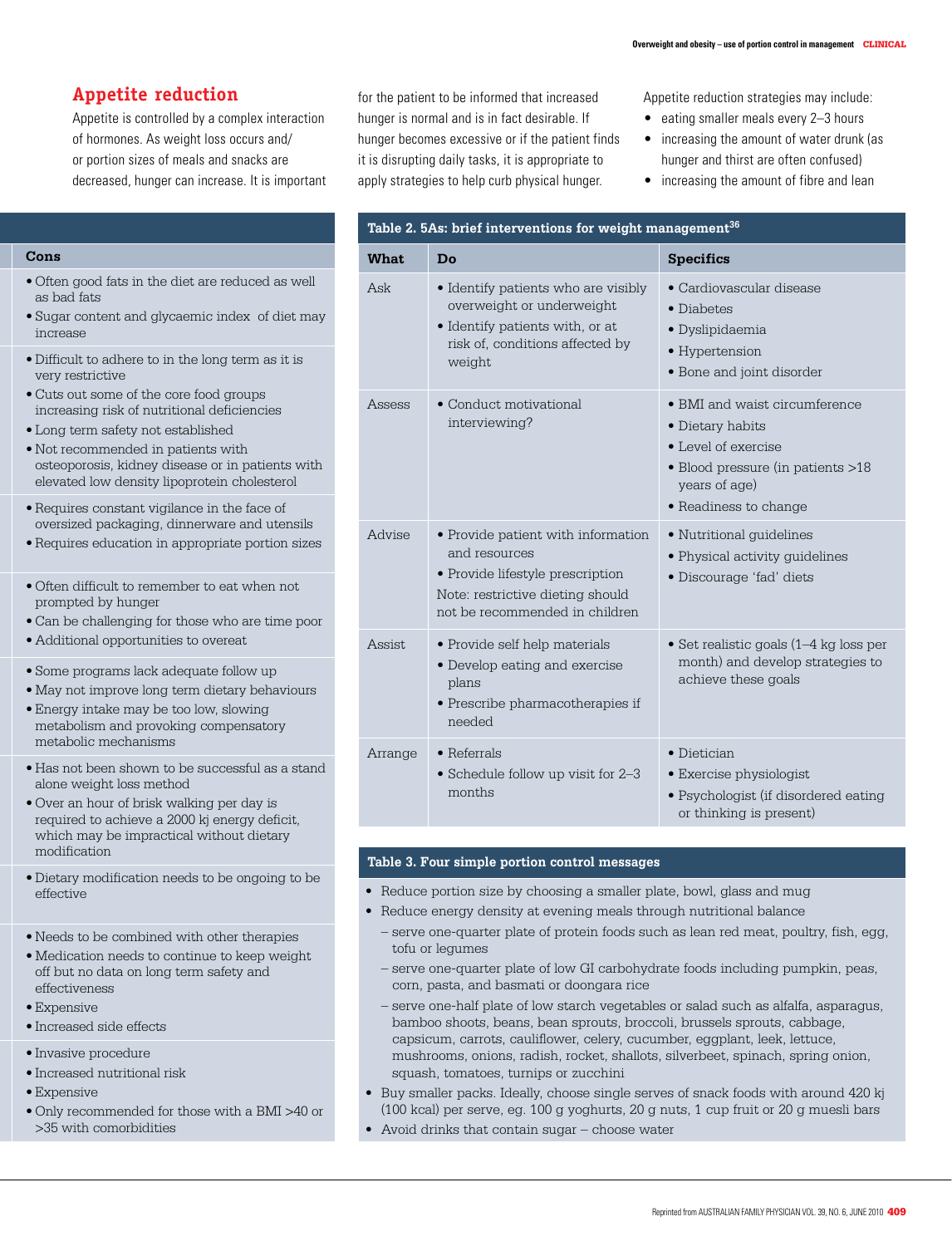# **Appetite reduction**

Appetite is controlled by a complex interaction of hormones. As weight loss occurs and/ or portion sizes of meals and snacks are decreased, hunger can increase. It is important for the patient to be informed that increased hunger is normal and is in fact desirable. If hunger becomes excessive or if the patient finds it is disrupting daily tasks, it is appropriate to apply strategies to help curb physical hunger.

Appetite reduction strategies may include:

- eating smaller meals every 2-3 hours
- increasing the amount of water drunk (as hunger and thirst are often confused)
- increasing the amount of fibre and lean

| What    | Do                                                                                                                                                            | <b>Specifics</b>                                                                                                                                                |
|---------|---------------------------------------------------------------------------------------------------------------------------------------------------------------|-----------------------------------------------------------------------------------------------------------------------------------------------------------------|
| Ask     | • Identify patients who are visibly<br>overweight or underweight<br>• Identify patients with, or at<br>risk of, conditions affected by<br>weight              | • Cardiovascular disease<br>$\bullet$ Diabetes<br>· Dyslipidaemia<br>• Hypertension<br>• Bone and joint disorder                                                |
| Assess  | • Conduct motivational<br>interviewing?                                                                                                                       | • BMI and waist circumference<br>· Dietary habits<br>$\bullet$ Level of exercise<br>· Blood pressure (in patients >18<br>years of age)<br>• Readiness to change |
| Advise  | • Provide patient with information<br>and resources<br>• Provide lifestyle prescription<br>Note: restrictive dieting should<br>not be recommended in children | • Nutritional quidelines<br>• Physical activity guidelines<br>· Discourage 'fad' diets                                                                          |
| Assist. | • Provide self help materials<br>• Develop eating and exercise<br>plans<br>• Prescribe pharmacotherapies if<br>needed                                         | • Set realistic goals $(1-4 \text{ kg loss per})$<br>month) and develop strategies to<br>achieve these goals                                                    |
| Arrange | $\bullet$ Referrals<br>• Schedule follow up visit for 2-3<br>months                                                                                           | • Dietician<br>• Exercise physiologist<br>· Psychologist (if disordered eating<br>or thinking is present)                                                       |

# **Table 3. Four simple portion control messages**

- Reduce portion size by choosing a smaller plate, bowl, glass and mug
- Reduce energy density at evening meals through nutritional balance
	- serve one-quarter plate of protein foods such as lean red meat, poultry, fish, egg, tofu or legumes
	- serve one-quarter plate of low GI carbohydrate foods including pumpkin, peas, corn, pasta, and basmati or doongara rice
	- serve one-half plate of low starch vegetables or salad such as alfalfa, asparagus, bamboo shoots, beans, bean sprouts, broccoli, brussels sprouts, cabbage, capsicum, carrots, cauliflower, celery, cucumber, eggplant, leek, lettuce, mushrooms, onions, radish, rocket, shallots, silverbeet, spinach, spring onion, squash, tomatoes, turnips or zucchini
- Buy smaller packs, Ideally, choose single serves of snack foods with around 420 ki (100 kcal) per serve, eg. 100 g yoghurts, 20 g nuts, 1 cup fruit or 20 g muesli bars
- Avoid drinks that contain sugar  $-$  choose water

## **Approach Pros Cons**

- • Often good fats in the diet are reduced as well as bad fats
- Sugar content and glycaemic index of diet may increase
- • Difficult to adhere to in the long term as it is very restrictive
- • Cuts out some of the core food groups increasing risk of nutritional deficiencies
- • Long term safety not established
- Not recommended in patients with osteoporosis, kidney disease or in patients with elevated low density lipoprotein cholesterol
- • Requires constant vigilance in the face of oversized packaging, dinnerware and utensils
- Requires education in appropriate portion sizes
- • Often difficult to remember to eat when not prompted by hunger
- • Can be challenging for those who are time poor
- • Additional opportunities to overeat
- • Some programs lack adequate follow up
- • May not improve long term dietary behaviours
- • Energy intake may be too low, slowing metabolism and provoking compensatory metabolic mechanisms
- • Has not been shown to be successful as a stand alone weight loss method
- • Over an hour of brisk walking per day is required to achieve a 2000 kj energy deficit, which may be impractical without dietary modification
- • Dietary modification needs to be ongoing to be effective
- $\bullet$  Needs to be combined with other therapies
- Medication needs to continue to keep weight off but no data on long term safety and effectiveness
- Expensive
- • Increased side effects
- • Invasive procedure
- • Increased nutritional risk
- Expensive
- • Only recommended for those with a BMI >40 or >35 with comorbidities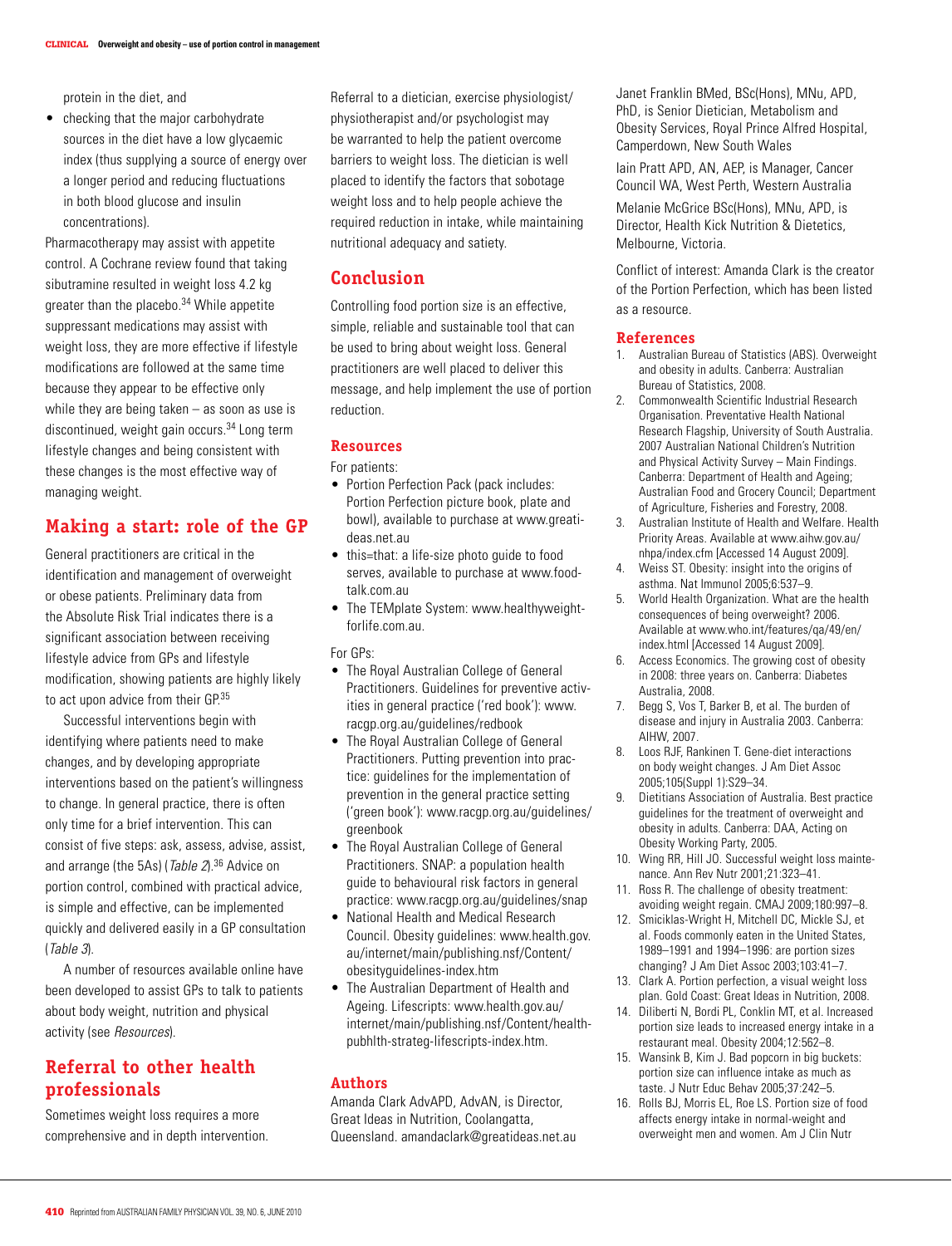protein in the diet, and

• checking that the major carbohydrate sources in the diet have a low glycaemic index (thus supplying a source of energy over a longer period and reducing fluctuations in both blood glucose and insulin concentrations).

Pharmacotherapy may assist with appetite control. A Cochrane review found that taking sibutramine resulted in weight loss 4.2 kg greater than the placebo.34 While appetite suppressant medications may assist with weight loss, they are more effective if lifestyle modifications are followed at the same time because they appear to be effective only while they are being taken  $-$  as soon as use is discontinued, weight gain occurs.34 Long term lifestyle changes and being consistent with these changes is the most effective way of managing weight.

# **Making a start: role of the GP**

General practitioners are critical in the identification and management of overweight or obese patients. Preliminary data from the Absolute Risk Trial indicates there is a significant association between receiving lifestyle advice from GPs and lifestyle modification, showing patients are highly likely to act upon advice from their GP.<sup>35</sup>

Successful interventions begin with identifying where patients need to make changes, and by developing appropriate interventions based on the patient's willingness to change. In general practice, there is often only time for a brief intervention. This can consist of five steps: ask, assess, advise, assist, and arrange (the 5As) (Table 2).<sup>36</sup> Advice on portion control, combined with practical advice, is simple and effective, can be implemented quickly and delivered easily in a GP consultation (Table 3).

A number of resources available online have been developed to assist GPs to talk to patients about body weight, nutrition and physical activity (see Resources).

# **Referral to other health professionals**

Sometimes weight loss requires a more comprehensive and in depth intervention. Referral to a dietician, exercise physiologist/ physiotherapist and/or psychologist may be warranted to help the patient overcome barriers to weight loss. The dietician is well placed to identify the factors that sobotage weight loss and to help people achieve the required reduction in intake, while maintaining nutritional adequacy and satiety.

# **Conclusion**

Controlling food portion size is an effective, simple, reliable and sustainable tool that can be used to bring about weight loss. General practitioners are well placed to deliver this message, and help implement the use of portion reduction.

## **Resources**

For patients:

- Portion Perfection Pack (pack includes: Portion Perfection picture book, plate and bowl), available to purchase at www.greatideas.net.au
- this=that: a life-size photo guide to food serves, available to purchase at www.foodtalk.com.au
- The TEMplate System: www.healthyweightforlife.com.au.

### For GPs:

- The Royal Australian College of General Practitioners. Guidelines for preventive activities in general practice ('red book'): www. racgp.org.au/guidelines/redbook
- The Royal Australian College of General Practitioners. Putting prevention into practice: guidelines for the implementation of prevention in the general practice setting ('green book'): www.racgp.org.au/guidelines/ greenbook
- The Royal Australian College of General Practitioners. SNAP: a population health guide to behavioural risk factors in general practice: www.racgp.org.au/guidelines/snap
- National Health and Medical Research Council. Obesity guidelines: www.health.gov. au/internet/main/publishing.nsf/Content/ obesityguidelines-index.htm
- The Australian Department of Health and Ageing. Lifescripts: www.health.gov.au/ internet/main/publishing.nsf/Content/healthpubhlth-strateg-lifescripts-index.htm.

# **Authors**

Amanda Clark AdvAPD, AdvAN, is Director, Great Ideas in Nutrition, Coolangatta, Queensland. amandaclark@greatideas.net.au Janet Franklin BMed, BSc(Hons), MNu, APD, PhD, is Senior Dietician, Metabolism and Obesity Services, Royal Prince Alfred Hospital, Camperdown, New South Wales

Iain Pratt APD, AN, AEP, is Manager, Cancer Council WA, West Perth, Western Australia

Melanie McGrice BSc(Hons), MNu, APD, is Director, Health Kick Nutrition & Dietetics, Melbourne, Victoria.

Conflict of interest: Amanda Clark is the creator of the Portion Perfection, which has been listed as a resource.

### **References**

- 1. Australian Bureau of Statistics (ABS). Overweight and obesity in adults. Canberra: Australian Bureau of Statistics, 2008.
- 2. Commonwealth Scientific Industrial Research Organisation. Preventative Health National Research Flagship, University of South Australia. 2007 Australian National Children's Nutrition and Physical Activity Survey – Main Findings. Canberra: Department of Health and Ageing; Australian Food and Grocery Council; Department of Agriculture, Fisheries and Forestry, 2008.
- 3. Australian Institute of Health and Welfare. Health Priority Areas. Available at www.aihw.gov.au/ nhpa/index.cfm [Accessed 14 August 2009].
- 4. Weiss ST. Obesity: insight into the origins of asthma. Nat Immunol 2005;6:537–9.
- 5. World Health Organization. What are the health consequences of being overweight? 2006. Available at www.who.int/features/qa/49/en/ index.html [Accessed 14 August 2009].
- 6. Access Economics. The growing cost of obesity in 2008: three years on. Canberra: Diabetes Australia, 2008.
- 7. Begg S, Vos T, Barker B, et al. The burden of disease and injury in Australia 2003. Canberra: AIHW, 2007.
- 8. Loos RJF, Rankinen T. Gene-diet interactions on body weight changes. J Am Diet Assoc 2005;105(Suppl 1):S29–34.
- 9. Dietitians Association of Australia. Best practice guidelines for the treatment of overweight and obesity in adults. Canberra: DAA, Acting on Obesity Working Party, 2005.
- 10. Wing RR, Hill JO. Successful weight loss maintenance. Ann Rev Nutr 2001;21:323–41.
- 11. Ross R. The challenge of obesity treatment: avoiding weight regain. CMAJ 2009;180:997–8.
- 12. Smiciklas-Wright H, Mitchell DC, Mickle SJ, et al. Foods commonly eaten in the United States, 1989–1991 and 1994–1996: are portion sizes changing? J Am Diet Assoc 2003;103:41–7.
- 13. Clark A. Portion perfection, a visual weight loss plan. Gold Coast: Great Ideas in Nutrition, 2008.
- 14. Diliberti N, Bordi PL, Conklin MT, et al. Increased portion size leads to increased energy intake in a restaurant meal. Obesity 2004;12:562–8.
- 15. Wansink B, Kim J. Bad popcorn in big buckets: portion size can influence intake as much as taste. J Nutr Educ Behav 2005;37:242–5.
- 16. Rolls BJ, Morris EL, Roe LS. Portion size of food affects energy intake in normal-weight and overweight men and women. Am J Clin Nutr